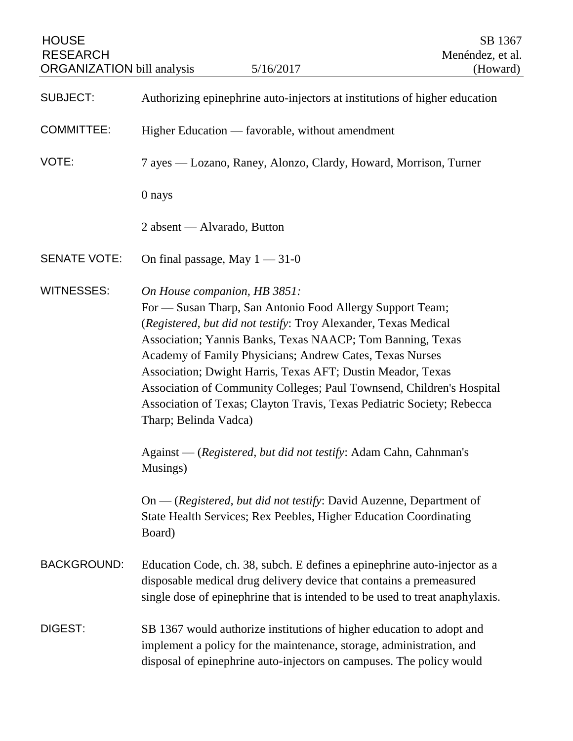| <b>HOUSE</b><br><b>RESEARCH</b><br><b>ORGANIZATION</b> bill analysis |                                                                                                                                                                                                                                                                                                                                                                                                                                                                                                                                                                                                                   | 5/16/2017 | SB 1367<br>Menéndez, et al.<br>(Howard) |
|----------------------------------------------------------------------|-------------------------------------------------------------------------------------------------------------------------------------------------------------------------------------------------------------------------------------------------------------------------------------------------------------------------------------------------------------------------------------------------------------------------------------------------------------------------------------------------------------------------------------------------------------------------------------------------------------------|-----------|-----------------------------------------|
| <b>SUBJECT:</b>                                                      | Authorizing epinephrine auto-injectors at institutions of higher education                                                                                                                                                                                                                                                                                                                                                                                                                                                                                                                                        |           |                                         |
| <b>COMMITTEE:</b>                                                    | Higher Education — favorable, without amendment                                                                                                                                                                                                                                                                                                                                                                                                                                                                                                                                                                   |           |                                         |
| VOTE:                                                                | 7 ayes — Lozano, Raney, Alonzo, Clardy, Howard, Morrison, Turner                                                                                                                                                                                                                                                                                                                                                                                                                                                                                                                                                  |           |                                         |
|                                                                      | 0 nays                                                                                                                                                                                                                                                                                                                                                                                                                                                                                                                                                                                                            |           |                                         |
|                                                                      | 2 absent — Alvarado, Button                                                                                                                                                                                                                                                                                                                                                                                                                                                                                                                                                                                       |           |                                         |
| <b>SENATE VOTE:</b>                                                  | On final passage, May $1 - 31 - 0$                                                                                                                                                                                                                                                                                                                                                                                                                                                                                                                                                                                |           |                                         |
| <b>WITNESSES:</b>                                                    | On House companion, HB 3851:<br>For — Susan Tharp, San Antonio Food Allergy Support Team;<br>(Registered, but did not testify: Troy Alexander, Texas Medical<br>Association; Yannis Banks, Texas NAACP; Tom Banning, Texas<br>Academy of Family Physicians; Andrew Cates, Texas Nurses<br>Association; Dwight Harris, Texas AFT; Dustin Meador, Texas<br>Association of Community Colleges; Paul Townsend, Children's Hospital<br>Association of Texas; Clayton Travis, Texas Pediatric Society; Rebecca<br>Tharp; Belinda Vadca)<br>Against — (Registered, but did not testify: Adam Cahn, Cahnman's<br>Musings) |           |                                         |
|                                                                      | On — (Registered, but did not testify: David Auzenne, Department of<br>State Health Services; Rex Peebles, Higher Education Coordinating<br>Board)                                                                                                                                                                                                                                                                                                                                                                                                                                                                |           |                                         |
| <b>BACKGROUND:</b>                                                   | Education Code, ch. 38, subch. E defines a epinephrine auto-injector as a<br>disposable medical drug delivery device that contains a premeasured<br>single dose of epinephrine that is intended to be used to treat anaphylaxis.                                                                                                                                                                                                                                                                                                                                                                                  |           |                                         |
| DIGEST:                                                              | SB 1367 would authorize institutions of higher education to adopt and<br>implement a policy for the maintenance, storage, administration, and<br>disposal of epinephrine auto-injectors on campuses. The policy would                                                                                                                                                                                                                                                                                                                                                                                             |           |                                         |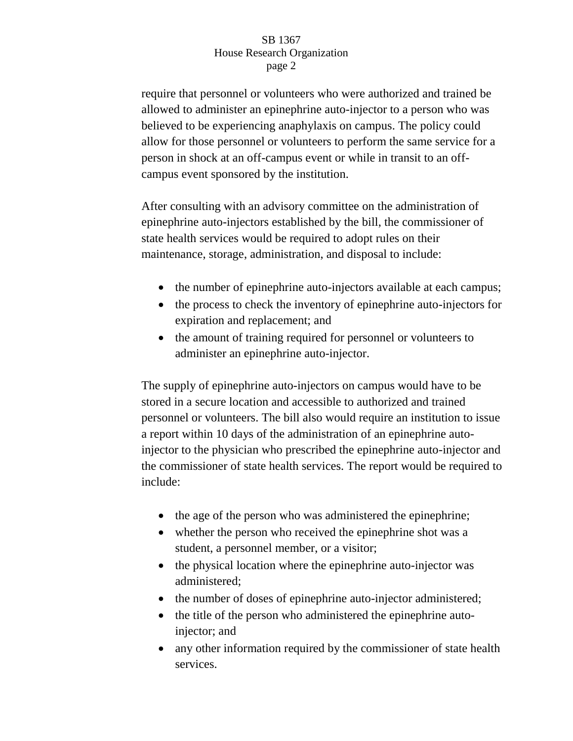## SB 1367 House Research Organization page 2

require that personnel or volunteers who were authorized and trained be allowed to administer an epinephrine auto-injector to a person who was believed to be experiencing anaphylaxis on campus. The policy could allow for those personnel or volunteers to perform the same service for a person in shock at an off-campus event or while in transit to an offcampus event sponsored by the institution.

After consulting with an advisory committee on the administration of epinephrine auto-injectors established by the bill, the commissioner of state health services would be required to adopt rules on their maintenance, storage, administration, and disposal to include:

- the number of epinephrine auto-injectors available at each campus;
- the process to check the inventory of epinephrine auto-injectors for expiration and replacement; and
- the amount of training required for personnel or volunteers to administer an epinephrine auto-injector.

The supply of epinephrine auto-injectors on campus would have to be stored in a secure location and accessible to authorized and trained personnel or volunteers. The bill also would require an institution to issue a report within 10 days of the administration of an epinephrine autoinjector to the physician who prescribed the epinephrine auto-injector and the commissioner of state health services. The report would be required to include:

- the age of the person who was administered the epinephrine;
- whether the person who received the epinephrine shot was a student, a personnel member, or a visitor;
- the physical location where the epinephrine auto-injector was administered;
- the number of doses of epinephrine auto-injector administered;
- the title of the person who administered the epinephrine autoinjector; and
- any other information required by the commissioner of state health services.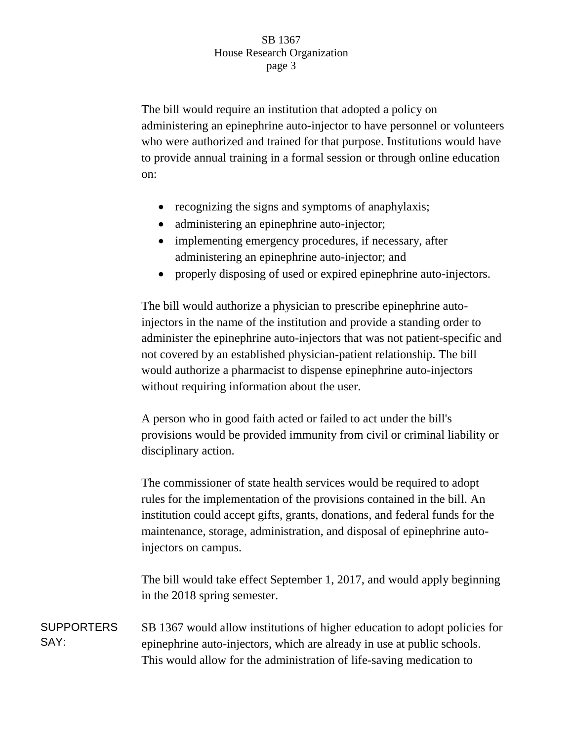## SB 1367 House Research Organization page 3

The bill would require an institution that adopted a policy on administering an epinephrine auto-injector to have personnel or volunteers who were authorized and trained for that purpose. Institutions would have to provide annual training in a formal session or through online education on:

- recognizing the signs and symptoms of anaphylaxis;
- administering an epinephrine auto-injector;
- implementing emergency procedures, if necessary, after administering an epinephrine auto-injector; and
- properly disposing of used or expired epinephrine auto-injectors.

The bill would authorize a physician to prescribe epinephrine autoinjectors in the name of the institution and provide a standing order to administer the epinephrine auto-injectors that was not patient-specific and not covered by an established physician-patient relationship. The bill would authorize a pharmacist to dispense epinephrine auto-injectors without requiring information about the user.

A person who in good faith acted or failed to act under the bill's provisions would be provided immunity from civil or criminal liability or disciplinary action.

The commissioner of state health services would be required to adopt rules for the implementation of the provisions contained in the bill. An institution could accept gifts, grants, donations, and federal funds for the maintenance, storage, administration, and disposal of epinephrine autoinjectors on campus.

The bill would take effect September 1, 2017, and would apply beginning in the 2018 spring semester.

**SUPPORTERS** SAY: SB 1367 would allow institutions of higher education to adopt policies for epinephrine auto-injectors, which are already in use at public schools. This would allow for the administration of life-saving medication to